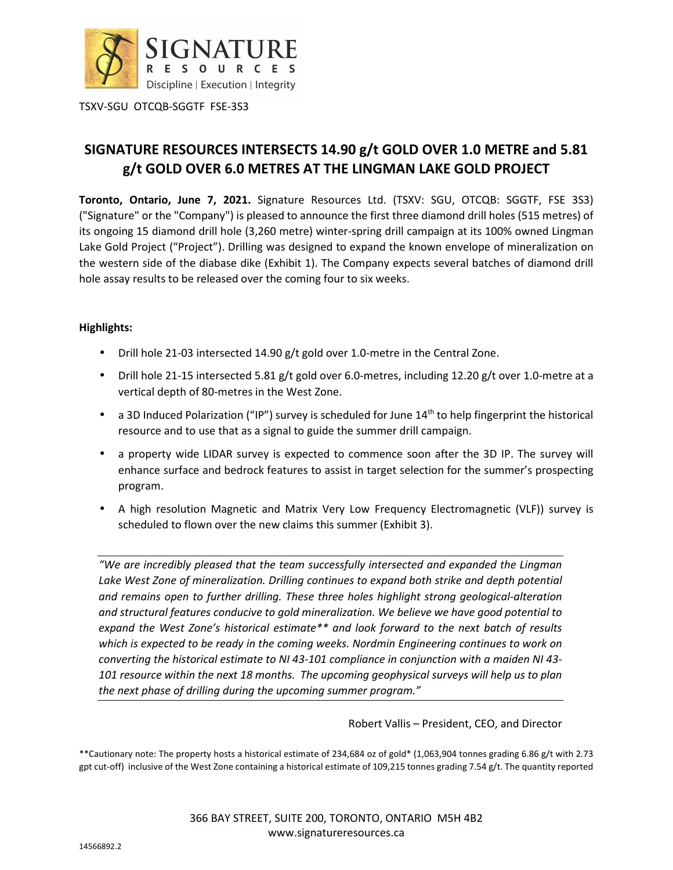

# **SIGNATURE RESOURCES INTERSECTS 14.90 g/t GOLD OVER 1.0 METRE and 5.81 g/t GOLD OVER 6.0 METRES AT THE LINGMAN LAKE GOLD PROJECT**

**Toronto, Ontario, June 7, 2021.** Signature Resources Ltd. (TSXV: SGU, OTCQB: SGGTF, FSE 3S3) ("Signature" or the "Company") is pleased to announce the first three diamond drill holes (515 metres) of its ongoing 15 diamond drill hole (3,260 metre) winter-spring drill campaign at its 100% owned Lingman Lake Gold Project ("Project"). Drilling was designed to expand the known envelope of mineralization on the western side of the diabase dike (Exhibit 1). The Company expects several batches of diamond drill hole assay results to be released over the coming four to six weeks.

# **Highlights:**

- Drill hole 21-03 intersected 14.90 g/t gold over 1.0-metre in the Central Zone.
- Drill hole 21-15 intersected 5.81 g/t gold over 6.0-metres, including 12.20 g/t over 1.0-metre at a vertical depth of 80-metres in the West Zone.
- a 3D Induced Polarization ("IP") survey is scheduled for June  $14<sup>th</sup>$  to help fingerprint the historical resource and to use that as a signal to guide the summer drill campaign.
- a property wide LIDAR survey is expected to commence soon after the 3D IP. The survey will enhance surface and bedrock features to assist in target selection for the summer's prospecting program.
- A high resolution Magnetic and Matrix Very Low Frequency Electromagnetic (VLF)) survey is scheduled to flown over the new claims this summer (Exhibit 3).

*"We are incredibly pleased that the team successfully intersected and expanded the Lingman*  Lake West Zone of mineralization. Drilling continues to expand both strike and depth potential *and remains open to further drilling. These three holes highlight strong geological-alteration and structural features conducive to gold mineralization. We believe we have good potential to expand the West Zone's historical estimate\*\* and look forward to the next batch of results*  which is expected to be ready in the coming weeks. Nordmin Engineering continues to work on *converting the historical estimate to NI 43-101 compliance in conjunction with a maiden NI 43- 101 resource within the next 18 months. The upcoming geophysical surveys will help us to plan the next phase of drilling during the upcoming summer program."* 

Robert Vallis – President, CEO, and Director

\*\*Cautionary note: The property hosts a historical estimate of 234,684 oz of gold\* (1,063,904 tonnes grading 6.86 g/t with 2.73 gpt cut-off) inclusive of the West Zone containing a historical estimate of 109,215 tonnes grading 7.54 g/t. The quantity reported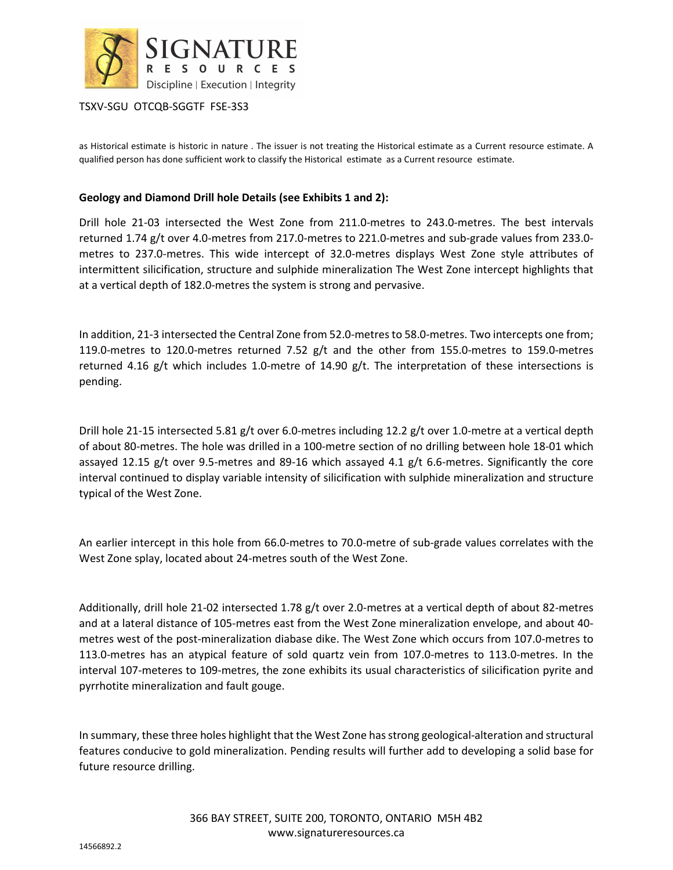

as Historical estimate is historic in nature . The issuer is not treating the Historical estimate as a Current resource estimate. A qualified person has done sufficient work to classify the Historical estimate as a Current resource estimate.

## **Geology and Diamond Drill hole Details (see Exhibits 1 and 2):**

Drill hole 21-03 intersected the West Zone from 211.0-metres to 243.0-metres. The best intervals returned 1.74 g/t over 4.0-metres from 217.0-metres to 221.0-metres and sub-grade values from 233.0 metres to 237.0-metres. This wide intercept of 32.0-metres displays West Zone style attributes of intermittent silicification, structure and sulphide mineralization The West Zone intercept highlights that at a vertical depth of 182.0-metres the system is strong and pervasive.

In addition, 21-3 intersected the Central Zone from 52.0-metres to 58.0-metres. Two intercepts one from; 119.0-metres to 120.0-metres returned 7.52 g/t and the other from 155.0-metres to 159.0-metres returned 4.16 g/t which includes 1.0-metre of 14.90 g/t. The interpretation of these intersections is pending.

Drill hole 21-15 intersected 5.81 g/t over 6.0-metres including 12.2 g/t over 1.0-metre at a vertical depth of about 80-metres. The hole was drilled in a 100-metre section of no drilling between hole 18-01 which assayed 12.15 g/t over 9.5-metres and 89-16 which assayed 4.1 g/t 6.6-metres. Significantly the core interval continued to display variable intensity of silicification with sulphide mineralization and structure typical of the West Zone.

An earlier intercept in this hole from 66.0-metres to 70.0-metre of sub-grade values correlates with the West Zone splay, located about 24-metres south of the West Zone.

Additionally, drill hole 21-02 intersected 1.78 g/t over 2.0-metres at a vertical depth of about 82-metres and at a lateral distance of 105-metres east from the West Zone mineralization envelope, and about 40 metres west of the post-mineralization diabase dike. The West Zone which occurs from 107.0-metres to 113.0-metres has an atypical feature of sold quartz vein from 107.0-metres to 113.0-metres. In the interval 107-meteres to 109-metres, the zone exhibits its usual characteristics of silicification pyrite and pyrrhotite mineralization and fault gouge.

In summary, these three holes highlight that the West Zone has strong geological-alteration and structural features conducive to gold mineralization. Pending results will further add to developing a solid base for future resource drilling.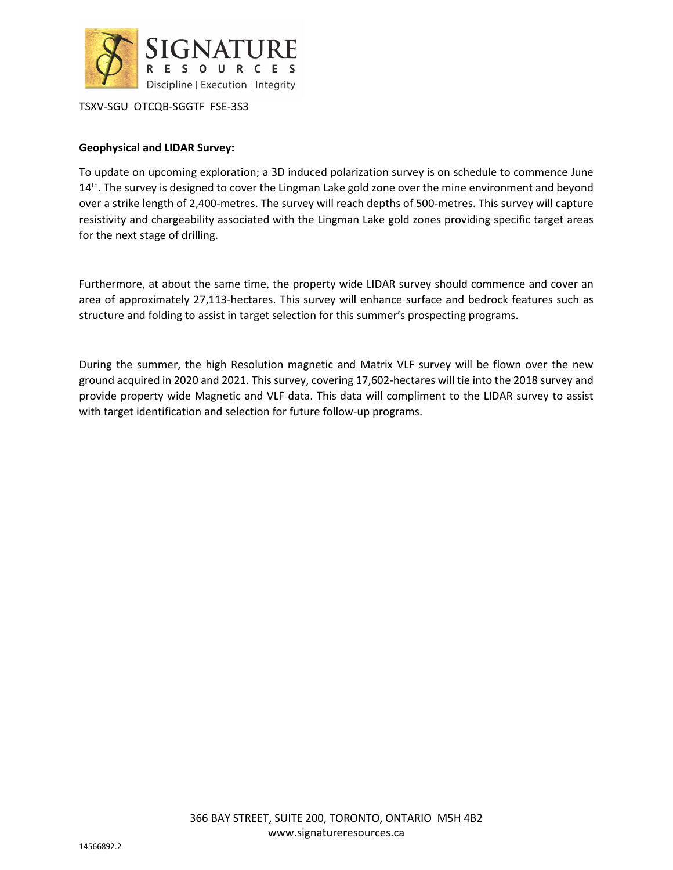

# **Geophysical and LIDAR Survey:**

To update on upcoming exploration; a 3D induced polarization survey is on schedule to commence June  $14<sup>th</sup>$ . The survey is designed to cover the Lingman Lake gold zone over the mine environment and beyond over a strike length of 2,400-metres. The survey will reach depths of 500-metres. This survey will capture resistivity and chargeability associated with the Lingman Lake gold zones providing specific target areas for the next stage of drilling.

Furthermore, at about the same time, the property wide LIDAR survey should commence and cover an area of approximately 27,113-hectares. This survey will enhance surface and bedrock features such as structure and folding to assist in target selection for this summer's prospecting programs.

During the summer, the high Resolution magnetic and Matrix VLF survey will be flown over the new ground acquired in 2020 and 2021. This survey, covering 17,602-hectares will tie into the 2018 survey and provide property wide Magnetic and VLF data. This data will compliment to the LIDAR survey to assist with target identification and selection for future follow-up programs.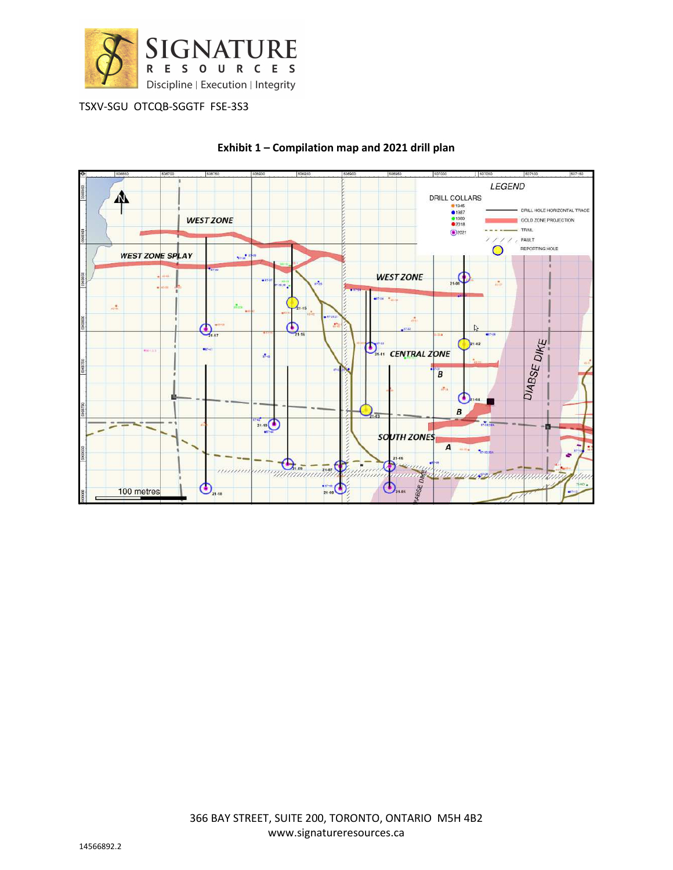



## **Exhibit 1 – Compilation map and 2021 drill plan**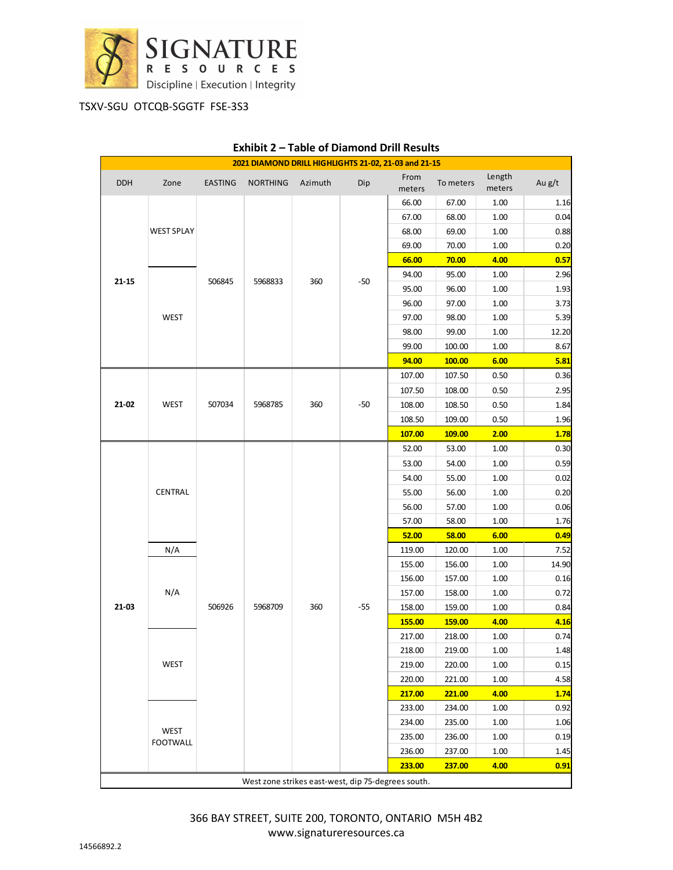

| 2021 DIAMOND DRILL HIGHLIGHTS 21-02, 21-03 and 21-15 |                                |                |                 |         |       |                |           |                  |        |
|------------------------------------------------------|--------------------------------|----------------|-----------------|---------|-------|----------------|-----------|------------------|--------|
| <b>DDH</b>                                           | Zone                           | <b>EASTING</b> | <b>NORTHING</b> | Azimuth | Dip   | From<br>meters | To meters | Length<br>meters | Au g/t |
| $21 - 15$                                            |                                | 506845         | 5968833         | 360     | $-50$ | 66.00          | 67.00     | 1.00             | 1.16   |
|                                                      | WEST SPLAY                     |                |                 |         |       | 67.00          | 68.00     | 1.00             | 0.04   |
|                                                      |                                |                |                 |         |       | 68.00          | 69.00     | 1.00             | 0.88   |
|                                                      |                                |                |                 |         |       | 69.00          | 70.00     | 1.00             | 0.20   |
|                                                      |                                |                |                 |         |       | 66.00          | 70.00     | 4.00             | 0.57   |
|                                                      | WEST                           |                |                 |         |       | 94.00          | 95.00     | 1.00             | 2.96   |
|                                                      |                                |                |                 |         |       | 95.00          | 96.00     | 1.00             | 1.93   |
|                                                      |                                |                |                 |         |       | 96.00          | 97.00     | 1.00             | 3.73   |
|                                                      |                                |                |                 |         |       | 97.00          | 98.00     | 1.00             | 5.39   |
|                                                      |                                |                |                 |         |       | 98.00          | 99.00     | 1.00             | 12.20  |
|                                                      |                                |                |                 |         |       | 99.00          | 100.00    | 1.00             | 8.67   |
|                                                      |                                |                |                 |         |       | 94.00          | 100.00    | 6.00             | 5.81   |
| $21 - 02$                                            | <b>WEST</b>                    | 507034         | 5968785         | 360     | -50   | 107.00         | 107.50    | 0.50             | 0.36   |
|                                                      |                                |                |                 |         |       | 107.50         | 108.00    | 0.50             | 2.95   |
|                                                      |                                |                |                 |         |       | 108.00         | 108.50    | 0.50             | 1.84   |
|                                                      |                                |                |                 |         |       | 108.50         | 109.00    | 0.50             | 1.96   |
|                                                      |                                |                |                 |         |       | 107.00         | 109.00    | 2.00             | 1.78   |
| $21 - 03$                                            | CENTRAL                        | 506926         | 5968709         | 360     | $-55$ | 52.00          | 53.00     | 1.00             | 0.30   |
|                                                      |                                |                |                 |         |       | 53.00          | 54.00     | 1.00             | 0.59   |
|                                                      |                                |                |                 |         |       | 54.00          | 55.00     | 1.00             | 0.02   |
|                                                      |                                |                |                 |         |       | 55.00          | 56.00     | 1.00             | 0.20   |
|                                                      |                                |                |                 |         |       | 56.00          | 57.00     | 1.00             | 0.06   |
|                                                      |                                |                |                 |         |       | 57.00          | 58.00     | 1.00             | 1.76   |
|                                                      |                                |                |                 |         |       | 52.00          | 58.00     | 6.00             | 0.49   |
|                                                      | N/A                            |                |                 |         |       | 119.00         | 120.00    | 1.00             | 7.52   |
|                                                      | N/A                            |                |                 |         |       | 155.00         | 156.00    | 1.00             | 14.90  |
|                                                      |                                |                |                 |         |       | 156.00         | 157.00    | 1.00             | 0.16   |
|                                                      |                                |                |                 |         |       | 157.00         | 158.00    | 1.00             | 0.72   |
|                                                      |                                |                |                 |         |       | 158.00         | 159.00    | 1.00             | 0.84   |
|                                                      |                                |                |                 |         |       | 155.00         | 159.00    | 4.00             | 4.16   |
|                                                      | <b>WEST</b>                    |                |                 |         |       | 217.00         | 218.00    | 1.00             | 0.74   |
|                                                      |                                |                |                 |         |       | 218.00         | 219.00    | 1.00             | 1.48   |
|                                                      |                                |                |                 |         |       | 219.00         | 220.00    | 1.00             | 0.15   |
|                                                      |                                |                |                 |         |       | 220.00         | 221.00    | 1.00             | 4.58   |
|                                                      |                                |                |                 |         |       | 217.00         | 221.00    | 4.00             | 1.74   |
|                                                      | <b>WEST</b><br><b>FOOTWALL</b> |                |                 |         |       | 233.00         | 234.00    | 1.00             | 0.92   |
|                                                      |                                |                |                 |         |       | 234.00         | 235.00    | 1.00             | 1.06   |
|                                                      |                                |                |                 |         |       | 235.00         | 236.00    | 1.00             | 0.19   |
|                                                      |                                |                |                 |         |       | 236.00         | 237.00    | 1.00             | 1.45   |
|                                                      |                                |                |                 |         |       | 233.00         | 237.00    | 4.00             | 0.91   |
| West zone strikes east-west, dip 75-degrees south.   |                                |                |                 |         |       |                |           |                  |        |

# **Exhibit 2 – Table of Diamond Drill Results**

366 BAY STREET, SUITE 200, TORONTO, ONTARIO M5H 4B2 www.signatureresources.ca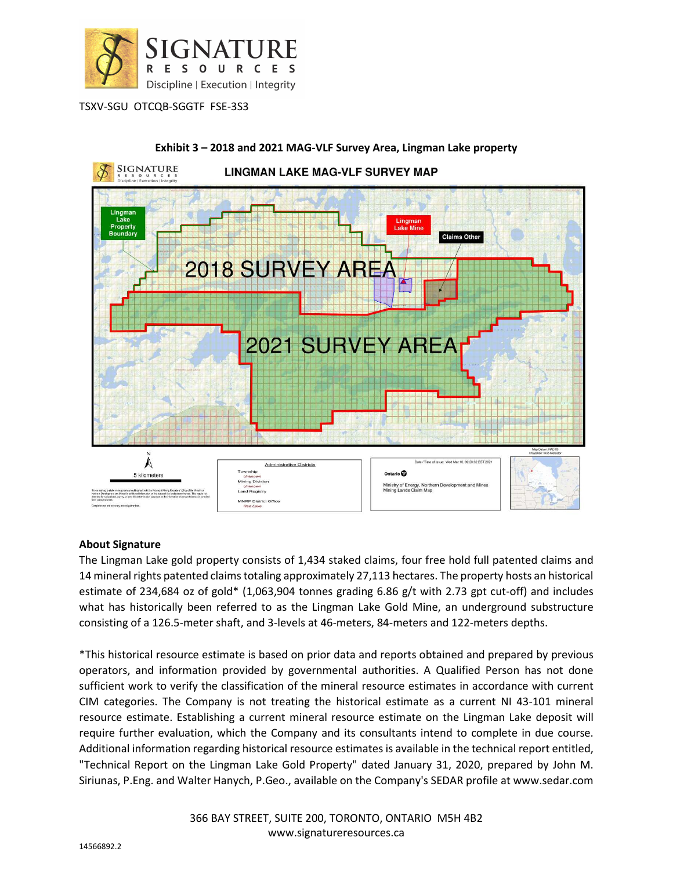



# **Exhibit 3 – 2018 and 2021 MAG-VLF Survey Area, Lingman Lake property**

# **About Signature**

The Lingman Lake gold property consists of 1,434 staked claims, four free hold full patented claims and 14 mineral rights patented claims totaling approximately 27,113 hectares. The property hosts an historical estimate of 234,684 oz of gold\* (1,063,904 tonnes grading 6.86 g/t with 2.73 gpt cut-off) and includes what has historically been referred to as the Lingman Lake Gold Mine, an underground substructure consisting of a 126.5-meter shaft, and 3-levels at 46-meters, 84-meters and 122-meters depths.

\*This historical resource estimate is based on prior data and reports obtained and prepared by previous operators, and information provided by governmental authorities. A Qualified Person has not done sufficient work to verify the classification of the mineral resource estimates in accordance with current CIM categories. The Company is not treating the historical estimate as a current NI 43-101 mineral resource estimate. Establishing a current mineral resource estimate on the Lingman Lake deposit will require further evaluation, which the Company and its consultants intend to complete in due course. Additional information regarding historical resource estimates is available in the technical report entitled, "Technical Report on the Lingman Lake Gold Property" dated January 31, 2020, prepared by John M. Siriunas, P.Eng. and Walter Hanych, P.Geo., available on the Company's SEDAR profile at www.sedar.com